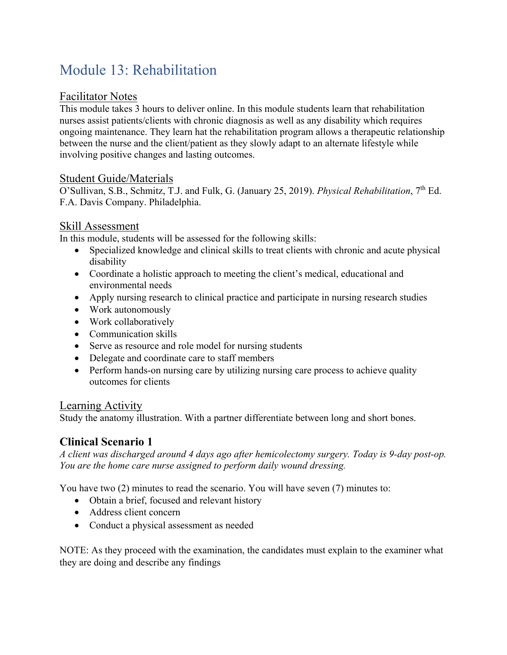# Module 13: Rehabilitation

### Facilitator Notes

This module takes 3 hours to deliver online. In this module students learn that rehabilitation nurses assist patients/clients with chronic diagnosis as well as any disability which requires ongoing maintenance. They learn hat the rehabilitation program allows a therapeutic relationship between the nurse and the client/patient as they slowly adapt to an alternate lifestyle while involving positive changes and lasting outcomes.

### Student Guide/Materials

O'Sullivan, S.B., Schmitz, T.J. and Fulk, G. (January 25, 2019). *Physical Rehabilitation*, 7<sup>th</sup> Ed. F.A. Davis Company. Philadelphia.

### Skill Assessment

In this module, students will be assessed for the following skills:

- Specialized knowledge and clinical skills to treat clients with chronic and acute physical disability
- Coordinate a holistic approach to meeting the client's medical, educational and environmental needs
- Apply nursing research to clinical practice and participate in nursing research studies
- Work autonomously
- Work collaboratively
- Communication skills
- Serve as resource and role model for nursing students
- Delegate and coordinate care to staff members
- Perform hands-on nursing care by utilizing nursing care process to achieve quality outcomes for clients

## Learning Activity

Study the anatomy illustration. With a partner differentiate between long and short bones.

## **Clinical Scenario 1**

*A client was discharged around 4 days ago after hemicolectomy surgery. Today is 9-day post-op. You are the home care nurse assigned to perform daily wound dressing.* 

You have two (2) minutes to read the scenario. You will have seven (7) minutes to:

- Obtain a brief, focused and relevant history
- Address client concern
- Conduct a physical assessment as needed

NOTE: As they proceed with the examination, the candidates must explain to the examiner what they are doing and describe any findings